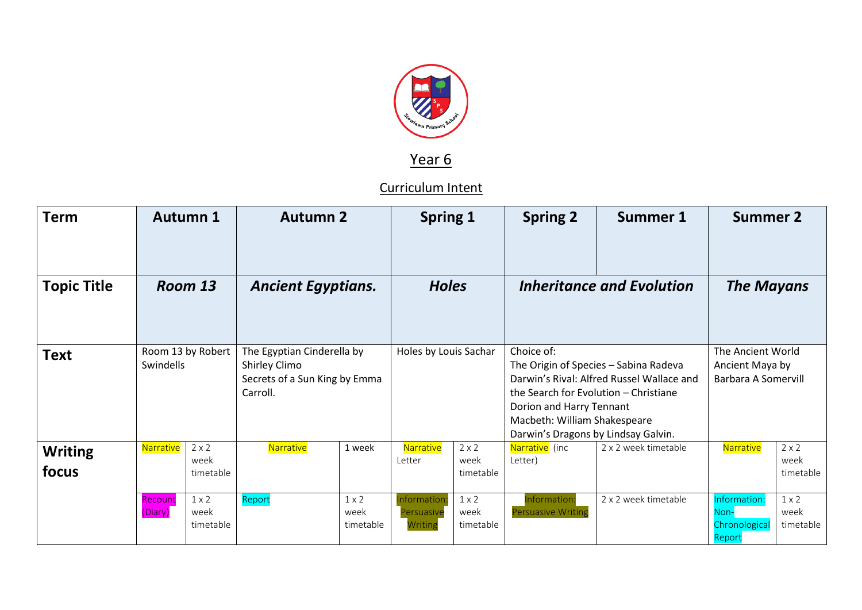

## Year 6

## Curriculum Intent

| <b>Term</b>             | <b>Autumn 1</b>                |                                   | <b>Autumn 2</b>                                                                          |                                   | <b>Spring 1</b>                       |                                   | <b>Spring 2</b>                                                                                                                                                                                                                              | <b>Summer 1</b>      | <b>Summer 2</b>                                             |                                   |
|-------------------------|--------------------------------|-----------------------------------|------------------------------------------------------------------------------------------|-----------------------------------|---------------------------------------|-----------------------------------|----------------------------------------------------------------------------------------------------------------------------------------------------------------------------------------------------------------------------------------------|----------------------|-------------------------------------------------------------|-----------------------------------|
| <b>Topic Title</b>      | Room 13                        |                                   | <b>Ancient Egyptians.</b>                                                                |                                   | <b>Holes</b>                          |                                   | <b>Inheritance and Evolution</b>                                                                                                                                                                                                             |                      | <b>The Mayans</b>                                           |                                   |
| <b>Text</b>             | Room 13 by Robert<br>Swindells |                                   | The Egyptian Cinderella by<br>Shirley Climo<br>Secrets of a Sun King by Emma<br>Carroll. |                                   | Holes by Louis Sachar                 |                                   | Choice of:<br>The Origin of Species - Sabina Radeva<br>Darwin's Rival: Alfred Russel Wallace and<br>the Search for Evolution - Christiane<br>Dorion and Harry Tennant<br>Macbeth: William Shakespeare<br>Darwin's Dragons by Lindsay Galvin. |                      | The Ancient World<br>Ancient Maya by<br>Barbara A Somervill |                                   |
| <b>Writing</b><br>focus | Narrative                      | $2 \times 2$<br>week<br>timetable | Narrative                                                                                | 1 week                            | Narrative<br>Letter                   | $2 \times 2$<br>week<br>timetable | Narrative (inc<br>Letter)                                                                                                                                                                                                                    | 2 x 2 week timetable | Narrative                                                   | $2 \times 2$<br>week<br>timetable |
|                         | Recount<br>(Diary)             | $1 \times 2$<br>week<br>timetable | Report                                                                                   | $1 \times 2$<br>week<br>timetable | Information:<br>Persuasive<br>Writing | $1 \times 2$<br>week<br>timetable | Information:<br><b>Persuasive Writing</b>                                                                                                                                                                                                    | 2 x 2 week timetable | Information:<br>Non-<br>Chronological<br>Report             | $1 \times 2$<br>week<br>timetable |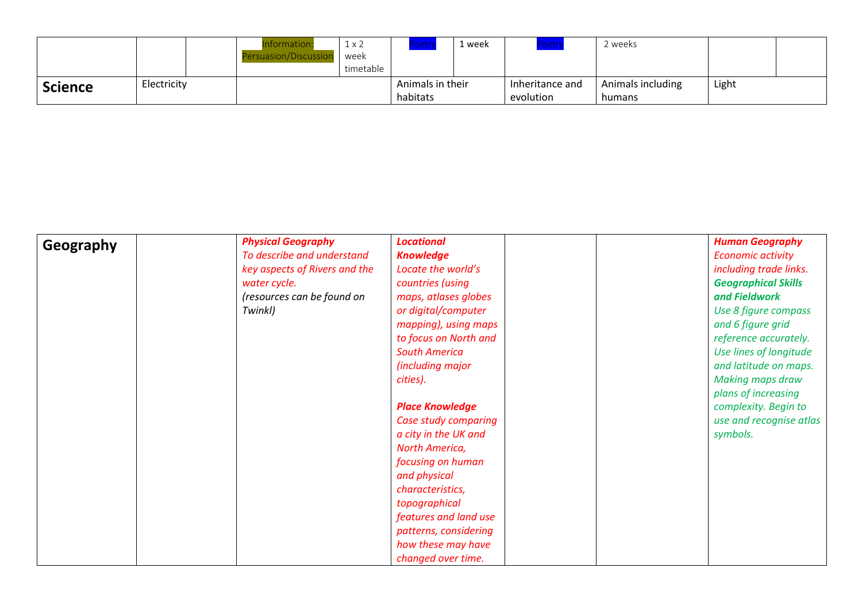|                |             | nformation           | $1 \times 2$ |                  | week | <mark>oetry</mark> | ' weeks           |       |  |
|----------------|-------------|----------------------|--------------|------------------|------|--------------------|-------------------|-------|--|
|                |             | Persuasion/Discussio | week         |                  |      |                    |                   |       |  |
|                |             |                      | timetable    |                  |      |                    |                   |       |  |
| <b>Science</b> | Electricity |                      |              | Animals in their |      | Inheritance and    | Animals including | Light |  |
|                |             |                      |              | habitats         |      | evolution          | humans            |       |  |

| Geography | <b>Physical Geography</b>     | <b>Locational</b>      | <b>Human Geography</b>     |
|-----------|-------------------------------|------------------------|----------------------------|
|           | To describe and understand    | <b>Knowledge</b>       | <b>Economic activity</b>   |
|           | key aspects of Rivers and the | Locate the world's     | including trade links.     |
|           | water cycle.                  | countries (using       | <b>Geographical Skills</b> |
|           | (resources can be found on    | maps, atlases globes   | and Fieldwork              |
|           | Twinkl)                       | or digital/computer    | Use 8 figure compass       |
|           |                               | mapping), using maps   | and 6 figure grid          |
|           |                               | to focus on North and  | reference accurately.      |
|           |                               | <b>South America</b>   | Use lines of longitude     |
|           |                               | (including major       | and latitude on maps.      |
|           |                               | cities).               | <b>Making maps draw</b>    |
|           |                               |                        | plans of increasing        |
|           |                               | <b>Place Knowledge</b> | complexity. Begin to       |
|           |                               | Case study comparing   | use and recognise atlas    |
|           |                               | a city in the UK and   | symbols.                   |
|           |                               | North America,         |                            |
|           |                               | focusing on human      |                            |
|           |                               | and physical           |                            |
|           |                               | characteristics,       |                            |
|           |                               | topographical          |                            |
|           |                               | features and land use  |                            |
|           |                               | patterns, considering  |                            |
|           |                               | how these may have     |                            |
|           |                               | changed over time.     |                            |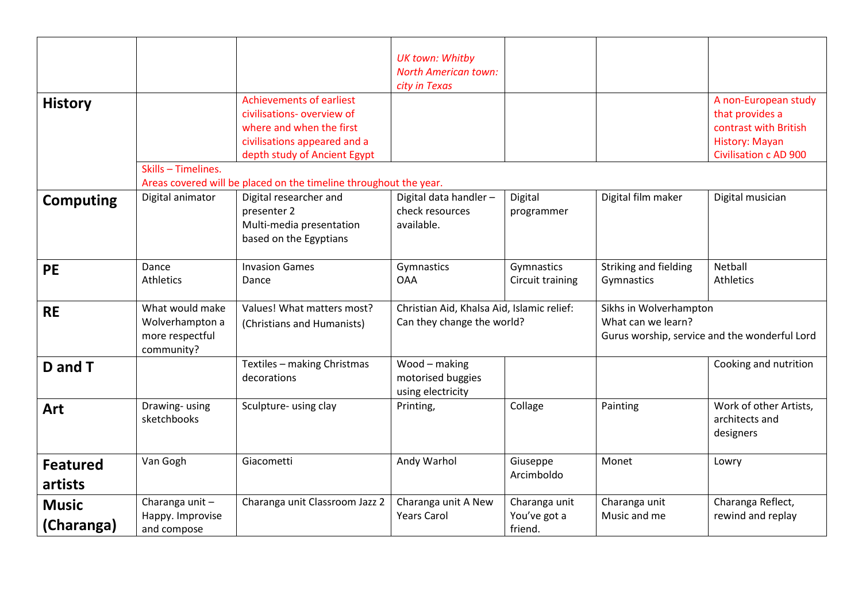|                  |                                               |                                                                   | <b>UK town: Whitby</b>                     |                  |                        |                                                |  |
|------------------|-----------------------------------------------|-------------------------------------------------------------------|--------------------------------------------|------------------|------------------------|------------------------------------------------|--|
|                  |                                               |                                                                   | <b>North American town:</b>                |                  |                        |                                                |  |
|                  |                                               |                                                                   | city in Texas                              |                  |                        |                                                |  |
| <b>History</b>   |                                               | <b>Achievements of earliest</b>                                   |                                            |                  |                        | A non-European study                           |  |
|                  |                                               | civilisations- overview of<br>where and when the first            |                                            |                  |                        | that provides a<br>contrast with British       |  |
|                  |                                               |                                                                   |                                            |                  |                        |                                                |  |
|                  |                                               | civilisations appeared and a<br>depth study of Ancient Egypt      |                                            |                  |                        | History: Mayan<br><b>Civilisation c AD 900</b> |  |
|                  | Skills - Timelines.                           |                                                                   |                                            |                  |                        |                                                |  |
|                  |                                               | Areas covered will be placed on the timeline throughout the year. |                                            |                  |                        |                                                |  |
|                  | Digital animator                              | Digital researcher and                                            | Digital data handler-                      | Digital          | Digital film maker     | Digital musician                               |  |
| <b>Computing</b> |                                               | presenter 2                                                       | check resources                            | programmer       |                        |                                                |  |
|                  |                                               | Multi-media presentation                                          | available.                                 |                  |                        |                                                |  |
|                  |                                               | based on the Egyptians                                            |                                            |                  |                        |                                                |  |
|                  |                                               |                                                                   |                                            |                  |                        |                                                |  |
| <b>PE</b>        | Dance                                         | <b>Invasion Games</b>                                             | Gymnastics                                 | Gymnastics       | Striking and fielding  | <b>Netball</b>                                 |  |
|                  | <b>Athletics</b>                              | Dance                                                             | <b>OAA</b>                                 | Circuit training | Gymnastics             | <b>Athletics</b>                               |  |
|                  |                                               |                                                                   |                                            |                  |                        |                                                |  |
| <b>RE</b>        | What would make                               | Values! What matters most?                                        | Christian Aid, Khalsa Aid, Islamic relief: |                  | Sikhs in Wolverhampton |                                                |  |
|                  | Wolverhampton a<br>(Christians and Humanists) |                                                                   | Can they change the world?                 |                  | What can we learn?     |                                                |  |
|                  | more respectful                               |                                                                   |                                            |                  |                        | Gurus worship, service and the wonderful Lord  |  |
|                  | community?                                    |                                                                   |                                            |                  |                        |                                                |  |
| D and T          |                                               | Textiles - making Christmas                                       | Wood - making                              |                  |                        | Cooking and nutrition                          |  |
|                  |                                               | decorations                                                       | motorised buggies                          |                  |                        |                                                |  |
|                  |                                               |                                                                   | using electricity                          |                  |                        |                                                |  |
| Art              | Drawing-using                                 | Sculpture- using clay                                             | Printing,                                  | Collage          | Painting               | Work of other Artists,                         |  |
|                  | sketchbooks                                   |                                                                   |                                            |                  |                        | architects and                                 |  |
|                  |                                               |                                                                   |                                            |                  |                        | designers                                      |  |
|                  | Van Gogh                                      | Giacometti                                                        | Andy Warhol                                | Giuseppe         | Monet                  | Lowry                                          |  |
| <b>Featured</b>  |                                               |                                                                   |                                            | Arcimboldo       |                        |                                                |  |
| artists          |                                               |                                                                   |                                            |                  |                        |                                                |  |
| <b>Music</b>     | Charanga unit-                                | Charanga unit Classroom Jazz 2                                    | Charanga unit A New                        | Charanga unit    | Charanga unit          | Charanga Reflect,                              |  |
|                  | Happy. Improvise                              |                                                                   | <b>Years Carol</b>                         | You've got a     | Music and me           | rewind and replay                              |  |
| (Charanga)       | and compose                                   |                                                                   |                                            | friend.          |                        |                                                |  |